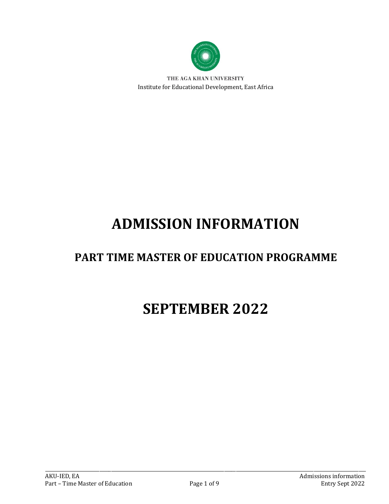

THE AGA KHAN UNIVERSITY Institute for Educational Development, East Africa

# **ADMISSION INFORMATION**

## **PART TIME MASTER OF EDUCATION PROGRAMME**

## **SEPTEMBER 2022**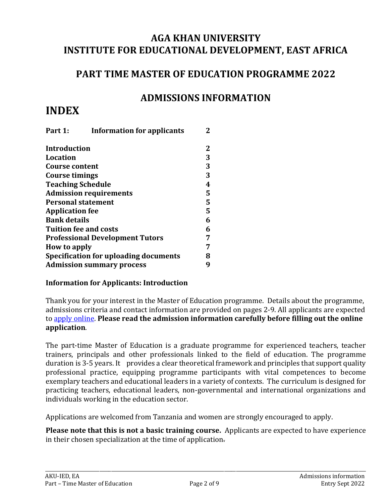## **AGA KHAN UNIVERSITY INSTITUTE FOR EDUCATIONAL DEVELOPMENT, EAST AFRICA**

### **PART TIME MASTER OF EDUCATION PROGRAMME 2022**

### **ADMISSIONS INFORMATION**

## **INDEX**

| Part 1:                   | <b>Information for applicants</b>            | 2 |
|---------------------------|----------------------------------------------|---|
| <b>Introduction</b>       |                                              | 2 |
| <b>Location</b>           |                                              | 3 |
| <b>Course content</b>     |                                              | 3 |
| <b>Course timings</b>     |                                              | 3 |
| <b>Teaching Schedule</b>  |                                              | 4 |
|                           | <b>Admission requirements</b>                | 5 |
| <b>Personal statement</b> |                                              | 5 |
| <b>Application fee</b>    |                                              | 5 |
| <b>Bank details</b>       |                                              | 6 |
|                           | <b>Tuition fee and costs</b>                 | 6 |
|                           | <b>Professional Development Tutors</b>       | 7 |
| How to apply              |                                              |   |
|                           | <b>Specification for uploading documents</b> | 8 |
|                           | <b>Admission summary process</b>             | 9 |

#### **Information for Applicants: Introduction**

Thank you for your interest in the Master of Education programme. Details about the programme, admissions criteria and contact information are provided on pages 2-9. All applicants are expected to [apply online.](http://www.aku.edu/apply-online) **Please read the admission information carefully before filling out the online application**.

The part-time Master of Education is a graduate programme for experienced teachers, teacher trainers, principals and other professionals linked to the field of education. The programme duration is 3-5 years. It provides a clear theoretical framework and principles that support quality professional practice, equipping programme participants with vital competences to become exemplary teachers and educational leaders in a variety of contexts. The curriculum is designed for practicing teachers, educational leaders, non-governmental and international organizations and individuals working in the education sector.

Applications are welcomed from Tanzania and women are strongly encouraged to apply.

**Please note that this is not a basic training course.** Applicants are expected to have experience in their chosen specialization at the time of application.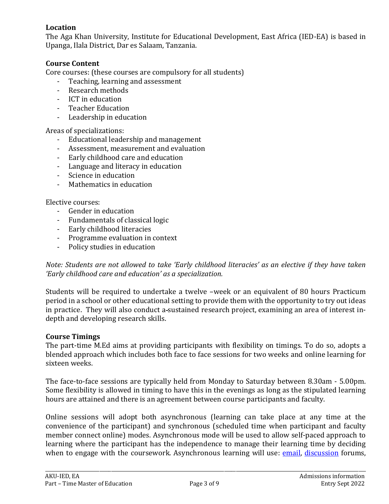#### **Location**

The Aga Khan University, Institute for Educational Development, East Africa (IED-EA) is based in Upanga, Ilala District, Dar es Salaam, Tanzania.

#### **Course Content**

Core courses: (these courses are compulsory for all students)

- Teaching, learning and assessment
- Research methods
- ICT in education
- Teacher Education
- Leadership in education

#### Areas of specializations:

- Educational leadership and management
- Assessment, measurement and evaluation
- Early childhood care and education
- Language and literacy in education
- Science in education
- Mathematics in education

#### Elective courses:

- Gender in education
- Fundamentals of classical logic
- Early childhood literacies
- Programme evaluation in context
- Policy studies in education

#### *Note: Students are not allowed to take 'Early childhood literacies' as an elective if they have taken 'Early childhood care and education' as a specialization.*

Students will be required to undertake a twelve –week or an equivalent of 80 hours Practicum period in a school or other educational setting to provide them with the opportunity to try out ideas in practice. They will also conduct a sustained research project, examining an area of interest indepth and developing research skills.

#### **Course Timings**

The part-time M.Ed aims at providing participants with flexibility on timings. To do so, adopts a blended approach which includes both face to face sessions for two weeks and online learning for sixteen weeks.

The face-to-face sessions are typically held from Monday to Saturday between 8.30am - 5.00pm. Some flexibility is allowed in timing to have this in the evenings as long as the stipulated learning hours are attained and there is an agreement between course participants and faculty.

Online sessions will adopt both asynchronous (learning can take place at any time at the convenience of the participant) and synchronous (scheduled time when participant and faculty member connect online) modes. Asynchronous mode will be used to allow self-paced approach to learning where the participant has the independence to manage their learning time by deciding when to engage with the coursework. Asynchronous learning will use: [email,](https://en.wikipedia.org/wiki/Email) [discussion](https://en.wikipedia.org/wiki/Internet_forum) forums,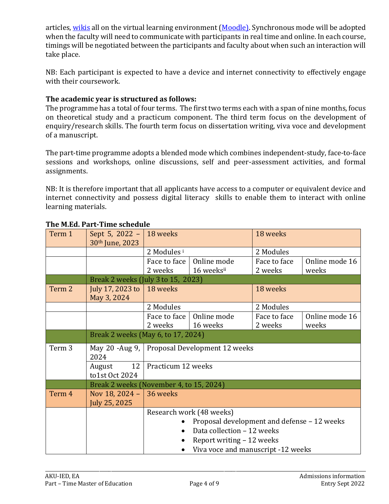articles[, wikis](https://en.wikipedia.org/wiki/Wikis) all on the virtual learning environment [\(Moodle\)](https://en.wikipedia.org/wiki/Moodle). Synchronous mode will be adopted when the faculty will need to communicate with participants in real time and online. In each course, timings will be negotiated between the participants and faculty about when such an interaction will take place.

NB: Each participant is expected to have a device and internet connectivity to effectively engage with their coursework.

#### **The academic year is structured as follows:**

The programme has a total of four terms. The first two terms each with a span of nine months, focus on theoretical study and a practicum component. The third term focus on the development of enquiry/research skills. The fourth term focus on dissertation writing, viva voce and development of a manuscript.

The part-time programme adopts a blended mode which combines independent-study, face-to-face sessions and workshops, online discussions, self and peer-assessment activities, and formal assignments.

NB: It is therefore important that all applicants have access to a computer or equivalent device and internet connectivity and possess digital literacy skills to enable them to interact with online learning materials.

| Term 1 | Sept 5, 2022 - 18 weeks<br>30th June, 2023 |                                                |             | 18 weeks     |                |  |
|--------|--------------------------------------------|------------------------------------------------|-------------|--------------|----------------|--|
|        |                                            | 2 Modules <sup>i</sup>                         |             | 2 Modules    |                |  |
|        |                                            | Face to face                                   | Online mode | Face to face | Online mode 16 |  |
|        |                                            | 2 weeks                                        | 16 weeksii  | 2 weeks      | weeks          |  |
|        |                                            | Break 2 weeks (July 3 to 15, 2023)             |             |              |                |  |
| Term 2 | July 17, 2023 to<br>May 3, 2024            | 18 weeks                                       |             | 18 weeks     |                |  |
|        |                                            | 2 Modules                                      |             | 2 Modules    |                |  |
|        |                                            | Face to face                                   | Online mode | Face to face | Online mode 16 |  |
|        |                                            | 2 weeks                                        | 16 weeks    | 2 weeks      | weeks          |  |
|        |                                            | Break 2 weeks (May 6, to 17, 2024)             |             |              |                |  |
| Term 3 | 2024                                       | May 20 -Aug 9,   Proposal Development 12 weeks |             |              |                |  |
|        | 12<br>August<br>to1st Oct 2024             | Practicum 12 weeks                             |             |              |                |  |
|        |                                            | Break 2 weeks (November 4, to 15, 2024)        |             |              |                |  |
| Term 4 | Nov 18, 2024 -<br>July 25, 2025            | 36 weeks                                       |             |              |                |  |
|        |                                            | Research work (48 weeks)                       |             |              |                |  |
|        |                                            | Proposal development and defense - 12 weeks    |             |              |                |  |
|        |                                            | Data collection - 12 weeks                     |             |              |                |  |
|        |                                            | Report writing - 12 weeks                      |             |              |                |  |
|        |                                            | Viva voce and manuscript -12 weeks             |             |              |                |  |

#### **The M.Ed. Part-Time schedule**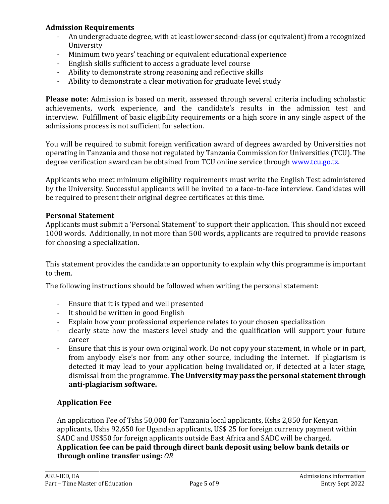#### **Admission Requirements**

- An undergraduate degree, with at least lower second-class (or equivalent) from a recognized University
- Minimum two years' teaching or equivalent educational experience
- English skills sufficient to access a graduate level course
- Ability to demonstrate strong reasoning and reflective skills
- Ability to demonstrate a clear motivation for graduate level study

**Please note**: Admission is based on merit, assessed through several criteria including scholastic achievements, work experience, and the candidate's results in the admission test and interview. Fulfillment of basic eligibility requirements or a high score in any single aspect of the admissions process is not sufficient for selection.

You will be required to submit foreign verification award of degrees awarded by Universities not operating in Tanzania and those not regulated by Tanzania Commission for Universities (TCU). The degree verification award can be obtained from TCU online service through [www.tcu.go.tz.](http://www.tcu.go.tz/)

Applicants who meet minimum eligibility requirements must write the English Test administered by the University. Successful applicants will be invited to a face-to-face interview. Candidates will be required to present their original degree certificates at this time.

#### **Personal Statement**

Applicants must submit a 'Personal Statement' to support their application. This should not exceed 1000 words. Additionally, in not more than 500 words, applicants are required to provide reasons for choosing a specialization.

This statement provides the candidate an opportunity to explain why this programme is important to them.

The following instructions should be followed when writing the personal statement:

- Ensure that it is typed and well presented
- It should be written in good English
- Explain how your professional experience relates to your chosen specialization
- clearly state how the masters level study and the qualification will support your future career
- Ensure that this is your own original work. Do not copy your statement, in whole or in part, from anybody else's nor from any other source, including the Internet. If plagiarism is detected it may lead to your application being invalidated or, if detected at a later stage, dismissal from the programme. **The University may pass the personal statementthrough anti-plagiarism software.**

#### **Application Fee**

An application Fee of Tshs 50,000 for Tanzania local applicants, Kshs 2,850 for Kenyan applicants, Ushs 92,650 for Ugandan applicants, US\$ 25 for foreign currency payment within SADC and US\$50 for foreign applicants outside East Africa and SADC will be charged. **Application fee can be paid through direct bank deposit using below bank details or through online transfer using:** *OR*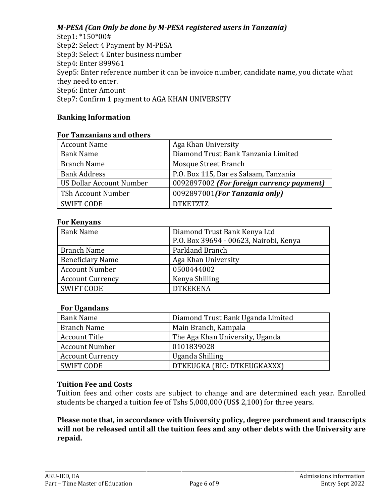#### *M-PESA (Can Only be done by M-PESA registered users in Tanzania)*

Step1: \*150\*00# Step2: Select 4 Payment by M-PESA Step3: Select 4 Enter business number Step4: Enter 899961 Syep5: Enter reference number it can be invoice number, candidate name, you dictate what they need to enter. Step6: Enter Amount Step7: Confirm 1 payment to AGA KHAN UNIVERSITY

#### **Banking Information**

#### **For Tanzanians and others**

| <b>Account Name</b>      | Aga Khan University                       |
|--------------------------|-------------------------------------------|
| <b>Bank Name</b>         | Diamond Trust Bank Tanzania Limited       |
| <b>Branch Name</b>       | Mosque Street Branch                      |
| <b>Bank Address</b>      | P.O. Box 115, Dar es Salaam, Tanzania     |
| US Dollar Account Number | 0092897002 (For foreign currency payment) |
| TSh Account Number       | 0092897001(For Tanzania only)             |
| <b>SWIFT CODE</b>        | <b>DTKETZTZ</b>                           |

#### **For Kenyans**

| <b>Bank Name</b>        | Diamond Trust Bank Kenya Ltd           |
|-------------------------|----------------------------------------|
|                         | P.O. Box 39694 - 00623, Nairobi, Kenya |
| <b>Branch Name</b>      | Parkland Branch                        |
| <b>Beneficiary Name</b> | Aga Khan University                    |
| <b>Account Number</b>   | 0500444002                             |
| <b>Account Currency</b> | Kenya Shilling                         |
| <b>SWIFT CODE</b>       | <b>DTKEKENA</b>                        |

#### **For Ugandans**

| <b>Bank Name</b>        | Diamond Trust Bank Uganda Limited |
|-------------------------|-----------------------------------|
| <b>Branch Name</b>      | Main Branch, Kampala              |
| <b>Account Title</b>    | The Aga Khan University, Uganda   |
| <b>Account Number</b>   | 0101839028                        |
| <b>Account Currency</b> | Uganda Shilling                   |
| <b>SWIFT CODE</b>       | DTKEUGKA (BIC: DTKEUGKAXXX)       |

#### **Tuition Fee and Costs**

Tuition fees and other costs are subject to change and are determined each year. Enrolled students be charged a tuition fee of Tshs 5,000,000 (US\$ 2,100) for three years.

#### **Please note that, in accordance with University policy, degree parchment and transcripts will not be released until all the tuition fees and any other debts with the University are repaid.**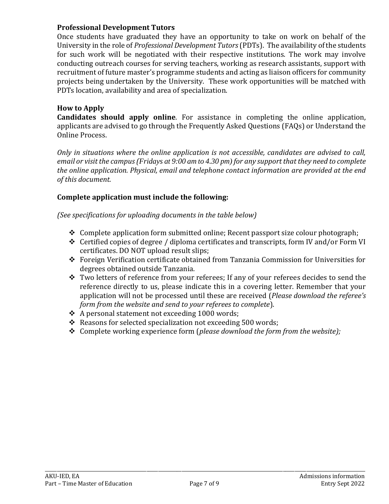#### **Professional Development Tutors**

Once students have graduated they have an opportunity to take on work on behalf of the University in the role of *Professional Development Tutors*(PDTs). The availability of the students for such work will be negotiated with their respective institutions. The work may involve conducting outreach courses for serving teachers, working as research assistants, support with recruitment of future master's programme students and acting as liaison officers for community projects being undertaken by the University. These work opportunities will be matched with PDTs location, availability and area of specialization.

#### **How to Apply**

**Candidates should apply online**. For assistance in completing the online application, applicants are advised to go through the Frequently Asked Questions (FAQs) or Understand the Online Process.

*Only in situations where the online application is not accessible, candidates are advised to call, email or visit the campus (Fridays at 9:00 am to 4.30 pm) for any support that they need to complete the online application. Physical, email and telephone contact information are provided at the end of this document.* 

#### **Complete application must include the following:**

*(See specifications for uploading documents in the table below)*

- $\triangle$  Complete application form submitted online; Recent passport size colour photograph;
- Certified copies of degree / diploma certificates and transcripts, form IV and/or Form VI certificates. DO NOT upload result slips;
- Foreign Verification certificate obtained from Tanzania Commission for Universities for degrees obtained outside Tanzania.
- \* Two letters of reference from your referees; If any of your referees decides to send the reference directly to us, please indicate this in a covering letter. Remember that your application will not be processed until these are received (*Please download the referee's form from the website and send to your referees to complete*).
- A personal statement not exceeding 1000 words;
- $\triangle$  Reasons for selected specialization not exceeding 500 words;
- Complete working experience form (*please download the form from the website);*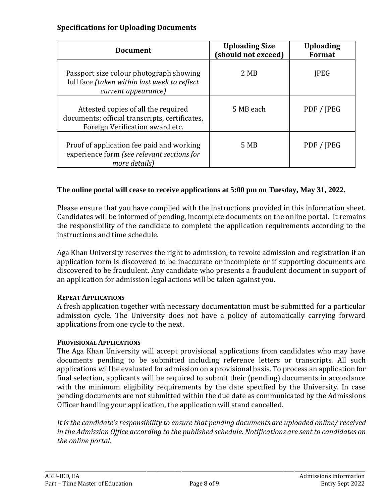#### **Specifications for Uploading Documents**

| <b>Document</b>                                                                                                          | <b>Uploading Size</b><br>(should not exceed) | <b>Uploading</b><br>Format |
|--------------------------------------------------------------------------------------------------------------------------|----------------------------------------------|----------------------------|
| Passport size colour photograph showing<br>full face (taken within last week to reflect<br>current appearance)           | 2 MB                                         | <b>JPEG</b>                |
| Attested copies of all the required<br>documents; official transcripts, certificates,<br>Foreign Verification award etc. | 5 MB each                                    | PDF / JPEG                 |
| Proof of application fee paid and working<br>experience form (see relevant sections for<br>more details)                 | 5 MB                                         | PDF / JPEG                 |

#### **The online portal will cease to receive applications at 5:00 pm on Tuesday, May 31, 2022.**

Please ensure that you have complied with the instructions provided in this information sheet. Candidates will be informed of pending, incomplete documents on the online portal. It remains the responsibility of the candidate to complete the application requirements according to the instructions and time schedule.

Aga Khan University reserves the right to admission; to revoke admission and registration if an application form is discovered to be inaccurate or incomplete or if supporting documents are discovered to be fraudulent. Any candidate who presents a fraudulent document in support of an application for admission legal actions will be taken against you.

#### **REPEAT APPLICATIONS**

A fresh application together with necessary documentation must be submitted for a particular admission cycle. The University does not have a policy of automatically carrying forward applications from one cycle to the next.

#### **PROVISIONAL APPLICATIONS**

The Aga Khan University will accept provisional applications from candidates who may have documents pending to be submitted including reference letters or transcripts. All such applications will be evaluated for admission on a provisional basis. To process an application for final selection, applicants will be required to submit their (pending) documents in accordance with the minimum eligibility requirements by the date specified by the University. In case pending documents are not submitted within the due date as communicated by the Admissions Officer handling your application, the application will stand cancelled.

*It is the candidate's responsibility to ensure that pending documents are uploaded online/ received in the Admission Office according to the published schedule. Notifications are sent to candidates on the online portal.*